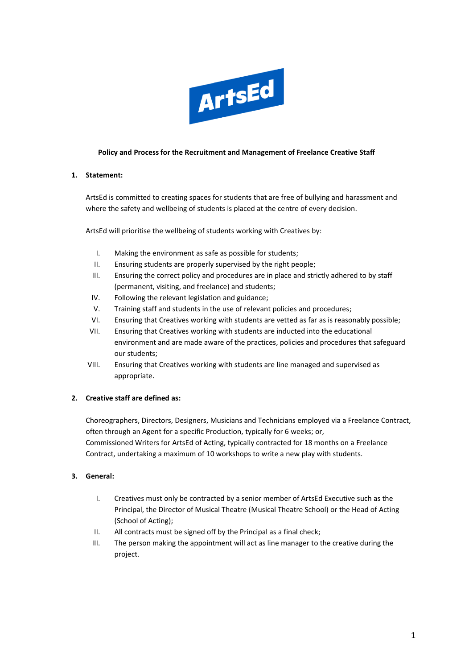

#### **Policy and Process for the Recruitment and Management of Freelance Creative Staff**

#### **1. Statement:**

ArtsEd is committed to creating spaces for students that are free of bullying and harassment and where the safety and wellbeing of students is placed at the centre of every decision.

ArtsEd will prioritise the wellbeing of students working with Creatives by:

- I. Making the environment as safe as possible for students;
- II. Ensuring students are properly supervised by the right people;
- III. Ensuring the correct policy and procedures are in place and strictly adhered to by staff (permanent, visiting, and freelance) and students;
- IV. Following the relevant legislation and guidance;
- V. Training staff and students in the use of relevant policies and procedures;
- VI. Ensuring that Creatives working with students are vetted as far as is reasonably possible;
- VII. Ensuring that Creatives working with students are inducted into the educational environment and are made aware of the practices, policies and procedures that safeguard our students;
- VIII. Ensuring that Creatives working with students are line managed and supervised as appropriate.

# **2. Creative staff are defined as:**

Choreographers, Directors, Designers, Musicians and Technicians employed via a Freelance Contract, often through an Agent for a specific Production, typically for 6 weeks; or, Commissioned Writers for ArtsEd of Acting, typically contracted for 18 months on a Freelance Contract, undertaking a maximum of 10 workshops to write a new play with students.

# **3. General:**

- I. Creatives must only be contracted by a senior member of ArtsEd Executive such as the Principal, the Director of Musical Theatre (Musical Theatre School) or the Head of Acting (School of Acting);
- II. All contracts must be signed off by the Principal as a final check;
- III. The person making the appointment will act as line manager to the creative during the project.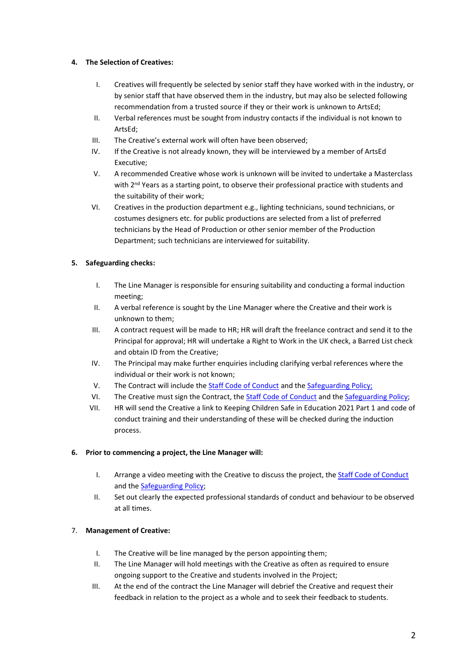# **4. The Selection of Creatives:**

- I. Creatives will frequently be selected by senior staff they have worked with in the industry, or by senior staff that have observed them in the industry, but may also be selected following recommendation from a trusted source if they or their work is unknown to ArtsEd;
- II. Verbal references must be sought from industry contacts if the individual is not known to ArtsEd;
- III. The Creative's external work will often have been observed;
- IV. If the Creative is not already known, they will be interviewed by a member of ArtsEd Executive;
- V. A recommended Creative whose work is unknown will be invited to undertake a Masterclass with 2<sup>nd</sup> Years as a starting point, to observe their professional practice with students and the suitability of their work;
- VI. Creatives in the production department e.g., lighting technicians, sound technicians, or costumes designers etc. for public productions are selected from a list of preferred technicians by the Head of Production or other senior member of the Production Department; such technicians are interviewed for suitability.

# **5. Safeguarding checks:**

- I. The Line Manager is responsible for ensuring suitability and conducting a formal induction meeting;
- II. A verbal reference is sought by the Line Manager where the Creative and their work is unknown to them;
- III. A contract request will be made to HR; HR will draft the freelance contract and send it to the Principal for approval; HR will undertake a Right to Work in the UK check, a Barred List check and obtain ID from the Creative;
- IV. The Principal may make further enquiries including clarifying verbal references where the individual or their work is not known;
- V. The Contract will include th[e Staff Code of Conduct](https://artsed003.blob.core.windows.net/policy/staff-code-of-conduct.pdf) and the [Safeguarding Policy;](https://artsed003.blob.core.windows.net/policy/safeguarding-policy.pdf)
- VI. The Creative must sign the Contract, the [Staff Code of Conduct](https://artsed003.blob.core.windows.net/policy/staff-code-of-conduct.pdf) and th[e Safeguarding Policy;](https://artsed003.blob.core.windows.net/policy/safeguarding-policy.pdf)
- VII. HR will send the Creative a link to Keeping Children Safe in Education 2021 Part 1 and code of conduct training and their understanding of these will be checked during the induction process.

# **6. Prior to commencing a project, the Line Manager will:**

- I. Arrange a video meeting with the Creative to discuss the project, th[e Staff Code of Conduct](https://artsed003.blob.core.windows.net/policy/staff-code-of-conduct.pdf) and th[e Safeguarding Policy;](https://artsed003.blob.core.windows.net/policy/safeguarding-policy.pdf)
- II. Set out clearly the expected professional standards of conduct and behaviour to be observed at all times.

# 7. **Management of Creative:**

- I. The Creative will be line managed by the person appointing them;
- II. The Line Manager will hold meetings with the Creative as often as required to ensure ongoing support to the Creative and students involved in the Project;
- III. At the end of the contract the Line Manager will debrief the Creative and request their feedback in relation to the project as a whole and to seek their feedback to students.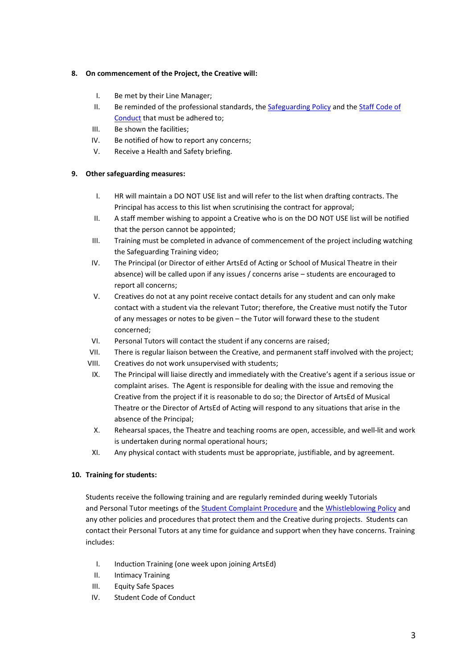#### **8. On commencement of the Project, the Creative will:**

- I. Be met by their Line Manager;
- II. Be reminded of the professional standards, the **Safeguarding Policy and the Staff Code of** [Conduct](https://artsed003.blob.core.windows.net/policy/staff-code-of-conduct.pdf) that must be adhered to;
- III. Be shown the facilities;
- IV. Be notified of how to report any concerns;
- V. Receive a Health and Safety briefing.

# **9. Other safeguarding measures:**

- I. HR will maintain a DO NOT USE list and will refer to the list when drafting contracts. The Principal has access to this list when scrutinising the contract for approval;
- II. A staff member wishing to appoint a Creative who is on the DO NOT USE list will be notified that the person cannot be appointed;
- III. Training must be completed in advance of commencement of the project including watching the Safeguarding Training video;
- IV. The Principal (or Director of either ArtsEd of Acting or School of Musical Theatre in their absence) will be called upon if any issues / concerns arise – students are encouraged to report all concerns;
- V. Creatives do not at any point receive contact details for any student and can only make contact with a student via the relevant Tutor; therefore, the Creative must notify the Tutor of any messages or notes to be given – the Tutor will forward these to the student concerned;
- VI. Personal Tutors will contact the student if any concerns are raised;
- VII. There is regular liaison between the Creative, and permanent staff involved with the project;
- VIII. Creatives do not work unsupervised with students;
- IX. The Principal will liaise directly and immediately with the Creative's agent if a serious issue or complaint arises. The Agent is responsible for dealing with the issue and removing the Creative from the project if it is reasonable to do so; the Director of ArtsEd of Musical Theatre or the Director of ArtsEd of Acting will respond to any situations that arise in the absence of the Principal;
- X. Rehearsal spaces, the Theatre and teaching rooms are open, accessible, and well-lit and work is undertaken during normal operational hours;
- XI. Any physical contact with students must be appropriate, justifiable, and by agreement.

# **10. Training for students:**

Students receive the following training and are regularly reminded during weekly Tutorials and Personal Tutor meetings of the [Student Complaint Procedure](https://artsed003.blob.core.windows.net/policy/complaints-procedure.pdf) and the [Whistleblowing Policy](https://artsed003.blob.core.windows.net/policy/whistleblowing-policy-and-procedure.pdf) and any other policies and procedures that protect them and the Creative during projects. Students can contact their Personal Tutors at any time for guidance and support when they have concerns. Training includes:

- I. Induction Training (one week upon joining ArtsEd)
- II. Intimacy Training
- III. Equity Safe Spaces
- IV. Student Code of Conduct